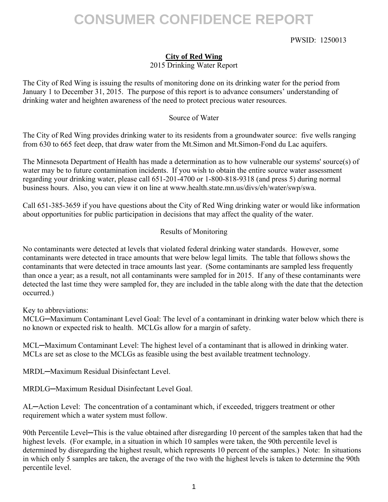# **CONSUMER CONFIDENCE REPORT**

### PWSID: 1250013

## **City of Red Wing**

2015 Drinking Water Report

The City of Red Wing is issuing the results of monitoring done on its drinking water for the period from January 1 to December 31, 2015. The purpose of this report is to advance consumers' understanding of drinking water and heighten awareness of the need to protect precious water resources.

### Source of Water

The City of Red Wing provides drinking water to its residents from a groundwater source: five wells ranging from 630 to 665 feet deep, that draw water from the Mt.Simon and Mt.Simon-Fond du Lac aquifers.

The Minnesota Department of Health has made a determination as to how vulnerable our systems' source(s) of water may be to future contamination incidents. If you wish to obtain the entire source water assessment regarding your drinking water, please call 651-201-4700 or 1-800-818-9318 (and press 5) during normal business hours. Also, you can view it on line at www.health.state.mn.us/divs/eh/water/swp/swa.

Call 651-385-3659 if you have questions about the City of Red Wing drinking water or would like information about opportunities for public participation in decisions that may affect the quality of the water.

### Results of Monitoring

No contaminants were detected at levels that violated federal drinking water standards. However, some contaminants were detected in trace amounts that were below legal limits. The table that follows shows the contaminants that were detected in trace amounts last year. (Some contaminants are sampled less frequently than once a year; as a result, not all contaminants were sampled for in 2015. If any of these contaminants were detected the last time they were sampled for, they are included in the table along with the date that the detection occurred.)

Key to abbreviations:

MCLG─Maximum Contaminant Level Goal: The level of a contaminant in drinking water below which there is no known or expected risk to health. MCLGs allow for a margin of safety.

MCL—Maximum Contaminant Level: The highest level of a contaminant that is allowed in drinking water. MCLs are set as close to the MCLGs as feasible using the best available treatment technology.

MRDL─Maximum Residual Disinfectant Level.

MRDLG─Maximum Residual Disinfectant Level Goal.

AL─Action Level: The concentration of a contaminant which, if exceeded, triggers treatment or other requirement which a water system must follow.

90th Percentile Level—This is the value obtained after disregarding 10 percent of the samples taken that had the highest levels. (For example, in a situation in which 10 samples were taken, the 90th percentile level is determined by disregarding the highest result, which represents 10 percent of the samples.) Note: In situations in which only 5 samples are taken, the average of the two with the highest levels is taken to determine the 90th percentile level.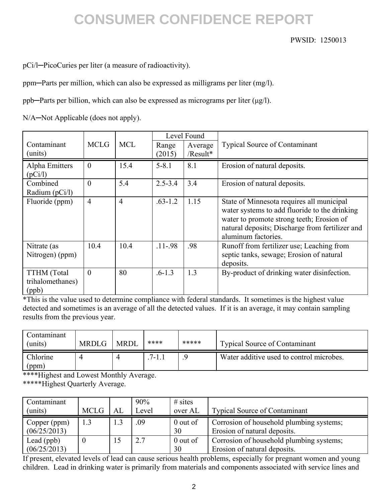# **CONSUMER CONFIDENCE REPORT**

### PWSID: 1250013

pCi/l─PicoCuries per liter (a measure of radioactivity).

ppm─Parts per million, which can also be expressed as milligrams per liter (mg/l).

ppb─Parts per billion, which can also be expressed as micrograms per liter (μg/l).

N/A-Not Applicable (does not apply).

|                                                 |                |                | Level Found |          |                                                                                                                                                                                                                   |
|-------------------------------------------------|----------------|----------------|-------------|----------|-------------------------------------------------------------------------------------------------------------------------------------------------------------------------------------------------------------------|
| Contaminant                                     | <b>MCLG</b>    | <b>MCL</b>     | Range       | Average  | <b>Typical Source of Contaminant</b>                                                                                                                                                                              |
| (units)                                         |                |                | (2015)      | /Result* |                                                                                                                                                                                                                   |
| Alpha Emitters<br>(pCi/l)                       | $\theta$       | 15.4           | $5 - 8.1$   | 8.1      | Erosion of natural deposits.                                                                                                                                                                                      |
| Combined                                        | $\theta$       | 5.4            | $2.5 - 3.4$ | 3.4      | Erosion of natural deposits.                                                                                                                                                                                      |
| Radium (pCi/l)                                  |                |                |             |          |                                                                                                                                                                                                                   |
| Fluoride (ppm)                                  | $\overline{4}$ | $\overline{4}$ | $.63 - 1.2$ | 1.15     | State of Minnesota requires all municipal<br>water systems to add fluoride to the drinking<br>water to promote strong teeth; Erosion of<br>natural deposits; Discharge from fertilizer and<br>aluminum factories. |
| Nitrate (as<br>Nitrogen) (ppm)                  | 10.4           | 10.4           | $.11 - .98$ | .98      | Runoff from fertilizer use; Leaching from<br>septic tanks, sewage; Erosion of natural<br>deposits.                                                                                                                |
| <b>TTHM</b> (Total<br>trihalomethanes)<br>(ppb) | $\theta$       | 80             | $.6 - 1.3$  | 1.3      | By-product of drinking water disinfection.                                                                                                                                                                        |

\*This is the value used to determine compliance with federal standards. It sometimes is the highest value detected and sometimes is an average of all the detected values. If it is an average, it may contain sampling results from the previous year.

| Contamınant<br>(units) | <b>MRDLG</b> | <b>MRDL</b> | ****      | ***** | <b>Typical Source of Contaminant</b>     |
|------------------------|--------------|-------------|-----------|-------|------------------------------------------|
| Chlorine<br>(ppm)      |              |             | $7 - 1.1$ |       | Water additive used to control microbes. |

\*\*\*\*Highest and Lowest Monthly Average.

\*\*\*\*\*Highest Quarterly Average.

| Contaminant<br>(units)       | <b>MCLG</b> | AL | 90%<br>Level | $#$ sites<br>over AL | <b>Typical Source of Contaminant</b>                                     |
|------------------------------|-------------|----|--------------|----------------------|--------------------------------------------------------------------------|
| Copper (ppm)<br>(06/25/2013) | 1.3         |    | .09          | $0$ out of<br>30     | Corrosion of household plumbing systems;<br>Erosion of natural deposits. |
| Lead (ppb)<br>(06/25/2013)   |             | 15 | 2.7          | $0$ out of<br>30     | Corrosion of household plumbing systems;<br>Erosion of natural deposits. |

If present, elevated levels of lead can cause serious health problems, especially for pregnant women and young children. Lead in drinking water is primarily from materials and components associated with service lines and